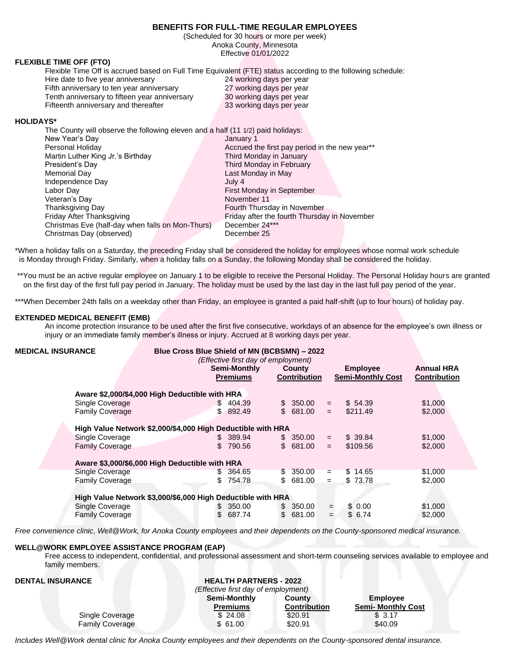# **BENEFITS FOR FULL-TIME REGULAR EMPLOYEES**

(Scheduled for 30 hours or more per week) Anoka County, Minnesota Effective 01/01/2022

## **FLEXIBLE TIME OFF (FTO)**

Flexible Time Off is accrued based on Full Time Equivalent (FTE) status according to the following schedule: Hire date to five year anniversary 24 working days per year

Fifth anniversary to ten year anniversary 27 working days per year Tenth anniversary to fifteen year anniversary 30 working days per year Fifteenth anniversary and thereafter 33 working days per year

## **HOLIDAYS\***

| The County will observe the following eleven and a half (11 1/2) paid holidays: |                                                |
|---------------------------------------------------------------------------------|------------------------------------------------|
| New Year's Day                                                                  | January 1                                      |
| Personal Holiday                                                                | Accrued the first pay period in the new year** |
| Martin Luther King Jr.'s Birthday                                               | Third Monday in January                        |
| President's Day                                                                 | Third Monday in February                       |
| Memorial Day                                                                    | Last Monday in May                             |
| Independence Day                                                                | July 4                                         |
| Labor Day                                                                       | First Monday in September                      |
| Veteran's Day                                                                   | November 11                                    |
| Thanksgiving Day                                                                | Fourth Thursday in November                    |
| Friday After Thanksgiving                                                       | Friday after the fourth Thursday in November   |
| Christmas Eve (half-day when falls on Mon-Thurs)                                | December 24***                                 |
| Christmas Day (observed)                                                        | December 25                                    |

\*When a holiday falls on a Saturday, the preceding Friday shall be considered the holiday for employees whose normal work schedule is Monday through Friday. Similarly, when a holiday falls on a Sunday, the following Monday shall be considered the holiday.

\*\*You must be an active regular employee on January 1 to be eligible to receive the Personal Holiday. The Personal Holiday hours are granted on the first day of the first full pay period in January. The holiday must be used by the last day in the last full pay period of the year.

\*\*\*When December 24th falls on a weekday other than Friday, an employee is granted a paid half-shift (up to four hours) of holiday pay.

## **EXTENDED MEDICAL BENEFIT (EMB)**

An income protection insurance to be used after the first five consecutive, workdays of an absence for the employee's own illness or injury or an immediate family member's illness or injury. Accrued at 8 working days per year.

| <b>MEDICAL INSURANCE</b>                                    | Blue Cross Blue Shield of MN (BCBSMN) - 2022                |     | (Effective first day of employment) |  |                               |     |                                             |                                          |
|-------------------------------------------------------------|-------------------------------------------------------------|-----|-------------------------------------|--|-------------------------------|-----|---------------------------------------------|------------------------------------------|
|                                                             |                                                             |     | Semi-Monthly<br><b>Premiums</b>     |  | County<br><b>Contribution</b> |     | <b>Employee</b><br><b>Semi-Monthly Cost</b> | <b>Annual HRA</b><br><b>Contribution</b> |
|                                                             | Aware \$2,000/\$4,000 High Deductible with HRA              |     |                                     |  |                               |     |                                             |                                          |
| Single Coverage                                             |                                                             |     | \$404.39                            |  | \$ 350.00                     | $=$ | \$54.39                                     | \$1,000                                  |
| <b>Family Coverage</b>                                      |                                                             |     | \$892.49                            |  | \$681.00                      | $=$ | \$211.49                                    | \$2,000                                  |
| High Value Network \$2,000/\$4,000 High Deductible with HRA |                                                             |     |                                     |  |                               |     |                                             |                                          |
| <b>Single Coverage</b>                                      |                                                             |     | \$ 389.94                           |  | \$ 350.00                     | $=$ | \$39.84                                     | \$1,000                                  |
| <b>Family Coverage</b>                                      |                                                             | \$. | 790.56                              |  | \$ 681.00                     | $=$ | \$109.56                                    | \$2,000                                  |
|                                                             | Aware \$3,000/\$6,000 High Deductible with HRA              |     |                                     |  |                               |     |                                             |                                          |
| Single Coverage                                             |                                                             | \$. | 364.65                              |  | \$ 350.00                     | $=$ | \$14.65                                     | \$1,000                                  |
| <b>Family Coverage</b>                                      |                                                             | \$  | 754.78                              |  | \$ 681.00                     | $=$ | \$73.78                                     | \$2,000                                  |
|                                                             | High Value Network \$3,000/\$6,000 High Deductible with HRA |     |                                     |  |                               |     |                                             |                                          |
| Single Coverage                                             |                                                             | \$. | 350.00                              |  | \$ 350.00                     | $=$ | \$0.00                                      | \$1,000                                  |
| <b>Family Coverage</b>                                      |                                                             | \$  | 687.74                              |  | \$ 681.00                     | $=$ | \$6.74                                      | \$2,000                                  |

*Free convenience clinic, Well@Work, for Anoka County employees and their dependents on the County-sponsored medical insurance.*

## **WELL@WORK EMPLOYEE ASSISTANCE PROGRAM (EAP)**

Free access to independent, confidential, and professional assessment and short-term counseling services available to employee and family members.

| <b>DENTAL INSURANCE</b> | <b>HEALTH PARTNERS - 2022</b>       |                     |                           |
|-------------------------|-------------------------------------|---------------------|---------------------------|
|                         | (Effective first day of employment) |                     |                           |
|                         | Semi-Monthly                        | County              | <b>Employee</b>           |
|                         | <b>Premiums</b>                     | <b>Contribution</b> | <b>Semi- Monthly Cost</b> |
| Single Coverage         | \$24.08                             | \$20.91             | \$3.17                    |
| <b>Family Coverage</b>  | \$61.00                             | \$20.91             | \$40.09                   |

*Includes Well@Work dental clinic for Anoka County employees and their dependents on the County-sponsored dental insurance.*